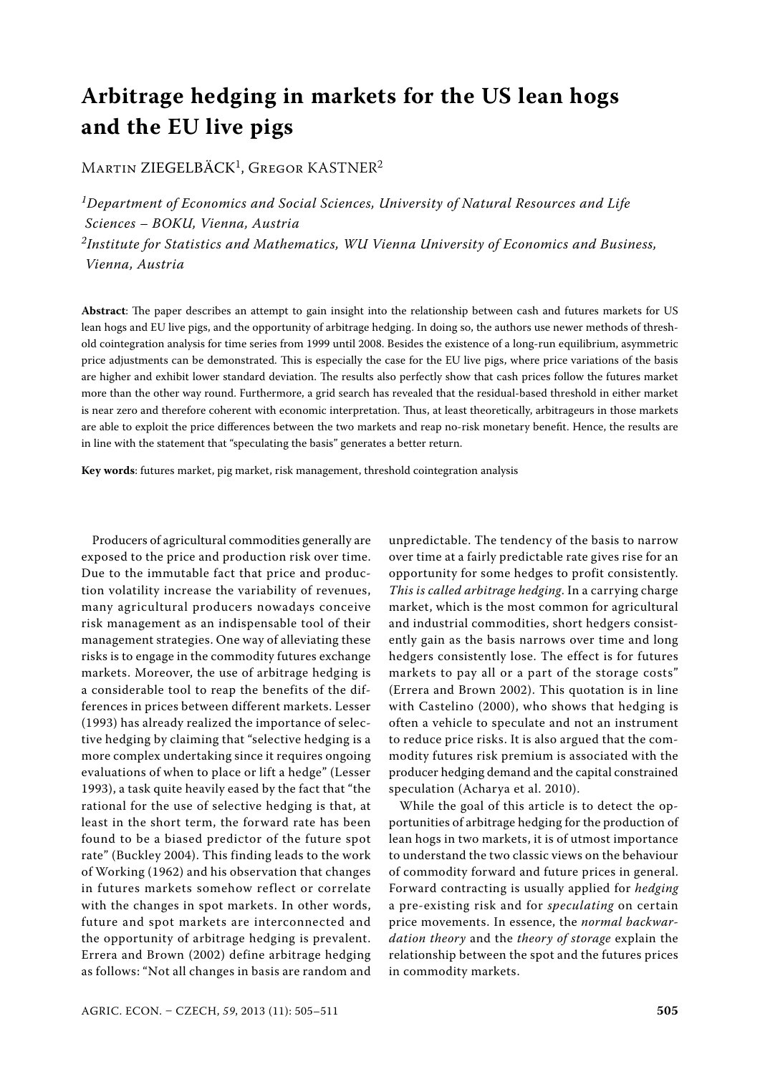# **Arbitrage hedging in markets for the US lean hogs and the EU live pigs**

MARTIN ZIEGELBÄCK<sup>1</sup>, GREGOR KASTNER<sup>2</sup>

*1Department of Economics and Social Sciences, University of Natural Resources and Life Sciences – BOKU, Vienna, Austria 2Institute for Statistics and Mathematics, WU Vienna University of Economics and Business, Vienna, Austria*

Abstract: The paper describes an attempt to gain insight into the relationship between cash and futures markets for US lean hogs and EU live pigs, and the opportunity of arbitrage hedging. In doing so, the authors use newer methods of threshold cointegration analysis for time series from 1999 until 2008. Besides the existence of a long-run equilibrium, asymmetric price adjustments can be demonstrated. This is especially the case for the EU live pigs, where price variations of the basis are higher and exhibit lower standard deviation. The results also perfectly show that cash prices follow the futures market more than the other way round. Furthermore, a grid search has revealed that the residual-based threshold in either market is near zero and therefore coherent with economic interpretation. Thus, at least theoretically, arbitrageurs in those markets are able to exploit the price differences between the two markets and reap no-risk monetary benefit. Hence, the results are in line with the statement that "speculating the basis" generates a better return.

**Key words**: futures market, pig market, risk management, threshold cointegration analysis

 Producers of agricultural commodities generally are exposed to the price and production risk over time. Due to the immutable fact that price and production volatility increase the variability of revenues, many agricultural producers nowadays conceive risk management as an indispensable tool of their management strategies. One way of alleviating these risks is to engage in the commodity futures exchange markets. Moreover, the use of arbitrage hedging is a considerable tool to reap the benefits of the differences in prices between different markets. Lesser (1993) has already realized the importance of selective hedging by claiming that "selective hedging is a more complex undertaking since it requires ongoing evaluations of when to place or lift a hedge" (Lesser 1993), a task quite heavily eased by the fact that "the rational for the use of selective hedging is that, at least in the short term, the forward rate has been found to be a biased predictor of the future spot rate" (Buckley 2004). This finding leads to the work of Working (1962) and his observation that changes in futures markets somehow reflect or correlate with the changes in spot markets. In other words, future and spot markets are interconnected and the opportunity of arbitrage hedging is prevalent. Errera and Brown (2002) define arbitrage hedging as follows: "Not all changes in basis are random and

unpredictable. The tendency of the basis to narrow over time at a fairly predictable rate gives rise for an opportunity for some hedges to profit consistently. *This is called arbitrage hedging*. In a carrying charge market, which is the most common for agricultural and industrial commodities, short hedgers consistently gain as the basis narrows over time and long hedgers consistently lose. The effect is for futures markets to pay all or a part of the storage costs" (Errera and Brown 2002). This quotation is in line with Castelino (2000), who shows that hedging is often a vehicle to speculate and not an instrument to reduce price risks. It is also argued that the commodity futures risk premium is associated with the producer hedging demand and the capital constrained speculation (Acharya et al. 2010).

While the goal of this article is to detect the opportunities of arbitrage hedging for the production of lean hogs in two markets, it is of utmost importance to understand the two classic views on the behaviour of commodity forward and future prices in general. Forward contracting is usually applied for *hedging* a pre-existing risk and for *speculating* on certain price movements. In essence, the *normal backwardation theory* and the *theory of storage* explain the relationship between the spot and the futures prices in commodity markets.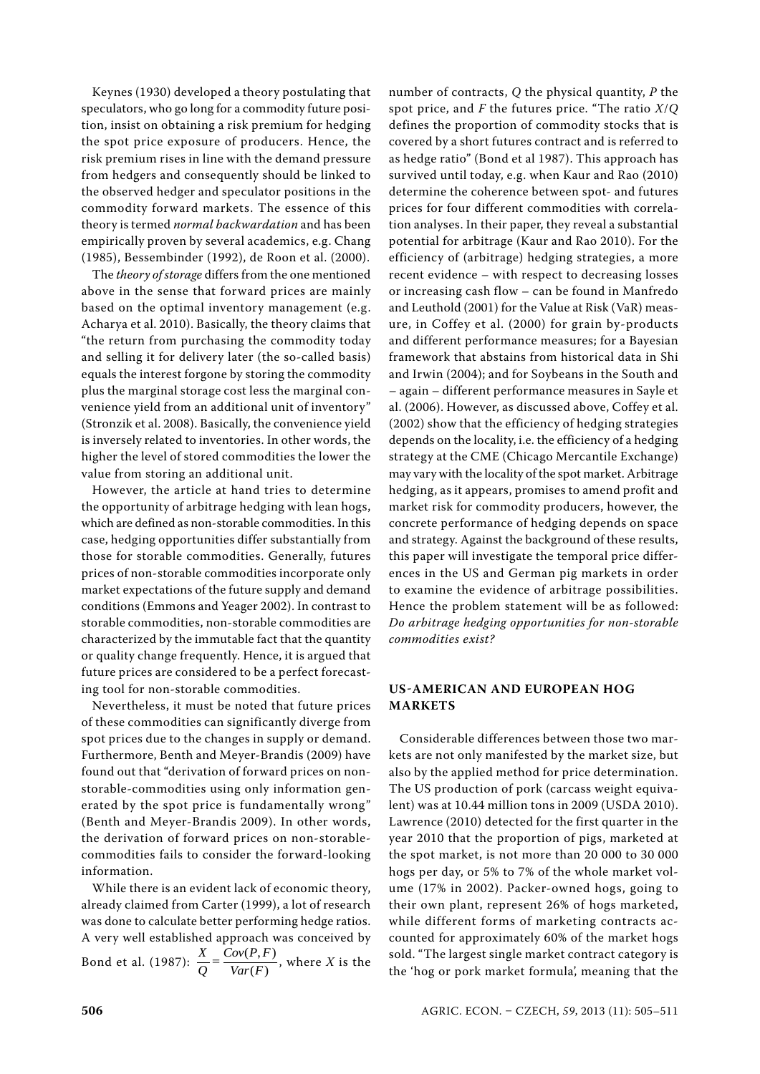Keynes (1930) developed a theory postulating that speculators, who go long for a commodity future position, insist on obtaining a risk premium for hedging the spot price exposure of producers. Hence, the risk premium rises in line with the demand pressure from hedgers and consequently should be linked to the observed hedger and speculator positions in the commodity forward markets. The essence of this theory is termed *normal backwardation* and has been empirically proven by several academics, e.g. Chang (1985), Bessembinder (1992), de Roon et al. (2000).

The *theory of storage* differs from the one mentioned above in the sense that forward prices are mainly based on the optimal inventory management (e.g. Acharya et al. 2010). Basically, the theory claims that "the return from purchasing the commodity today and selling it for delivery later (the so-called basis) equals the interest forgone by storing the commodity plus the marginal storage cost less the marginal convenience yield from an additional unit of inventory" (Stronzik et al. 2008). Basically, the convenience yield is inversely related to inventories. In other words, the higher the level of stored commodities the lower the value from storing an additional unit.

However, the article at hand tries to determine the opportunity of arbitrage hedging with lean hogs, which are defined as non-storable commodities. In this case, hedging opportunities differ substantially from those for storable commodities. Generally, futures prices of non-storable commodities incorporate only market expectations of the future supply and demand conditions (Emmons and Yeager 2002). In contrast to storable commodities, non-storable commodities are characterized by the immutable fact that the quantity or quality change frequently. Hence, it is argued that future prices are considered to be a perfect forecasting tool for non-storable commodities.

Nevertheless, it must be noted that future prices of these commodities can significantly diverge from spot prices due to the changes in supply or demand. Furthermore, Benth and Meyer-Brandis (2009) have found out that "derivation of forward prices on nonstorable-commodities using only information generated by the spot price is fundamentally wrong" (Benth and Meyer-Brandis 2009). In other words, the derivation of forward prices on non-storablecommodities fails to consider the forward-looking information.

While there is an evident lack of economic theory, already claimed from Carter (1999), a lot of research was done to calculate better performing hedge ratios. A very well established approach was conceived by Bond et al. (1987):  $\frac{d}{Q} = \frac{2\pi r^2}{Var(F)}$  $(P, F)$ *Var F*  $Cov(P, F)$  $\frac{X}{Q} = \frac{Cov(P, F)}{Var(F)}$ , where *X* is the number of contracts, *Q* the physical quantity, *P* the spot price, and *F* the futures price. "The ratio *X*/*Q* defines the proportion of commodity stocks that is covered by a short futures contract and is referred to as hedge ratio" (Bond et al 1987). This approach has survived until today, e.g. when Kaur and Rao (2010) determine the coherence between spot- and futures prices for four different commodities with correlation analyses. In their paper, they reveal a substantial potential for arbitrage (Kaur and Rao 2010). For the efficiency of (arbitrage) hedging strategies, a more recent evidence – with respect to decreasing losses or increasing cash flow – can be found in Manfredo and Leuthold (2001) for the Value at Risk (VaR) measure, in Coffey et al. (2000) for grain by-products and different performance measures; for a Bayesian framework that abstains from historical data in Shi and Irwin (2004); and for Soybeans in the South and – again – different performance measures in Sayle et al. (2006). However, as discussed above, Coffey et al. (2002) show that the efficiency of hedging strategies depends on the locality, i.e. the efficiency of a hedging strategy at the CME (Chicago Mercantile Exchange) may vary with the locality of the spot market. Arbitrage hedging, as it appears, promises to amend profit and market risk for commodity producers, however, the concrete performance of hedging depends on space and strategy. Against the background of these results, this paper will investigate the temporal price differences in the US and German pig markets in order to examine the evidence of arbitrage possibilities. Hence the problem statement will be as followed: *Do arbitrage hedging opportunities for non-storable commodities exist?*

## **US-AMERICAN AND EUROPEAN HOG MARKETS**

Considerable differences between those two markets are not only manifested by the market size, but also by the applied method for price determination. The US production of pork (carcass weight equivalent) was at 10.44 million tons in 2009 (USDA 2010). Lawrence (2010) detected for the first quarter in the year 2010 that the proportion of pigs, marketed at the spot market, is not more than 20 000 to 30 000 hogs per day, or 5% to 7% of the whole market volume (17% in 2002). Packer-owned hogs, going to their own plant, represent 26% of hogs marketed, while different forms of marketing contracts accounted for approximately 60% of the market hogs sold. "The largest single market contract category is the 'hog or pork market formula', meaning that the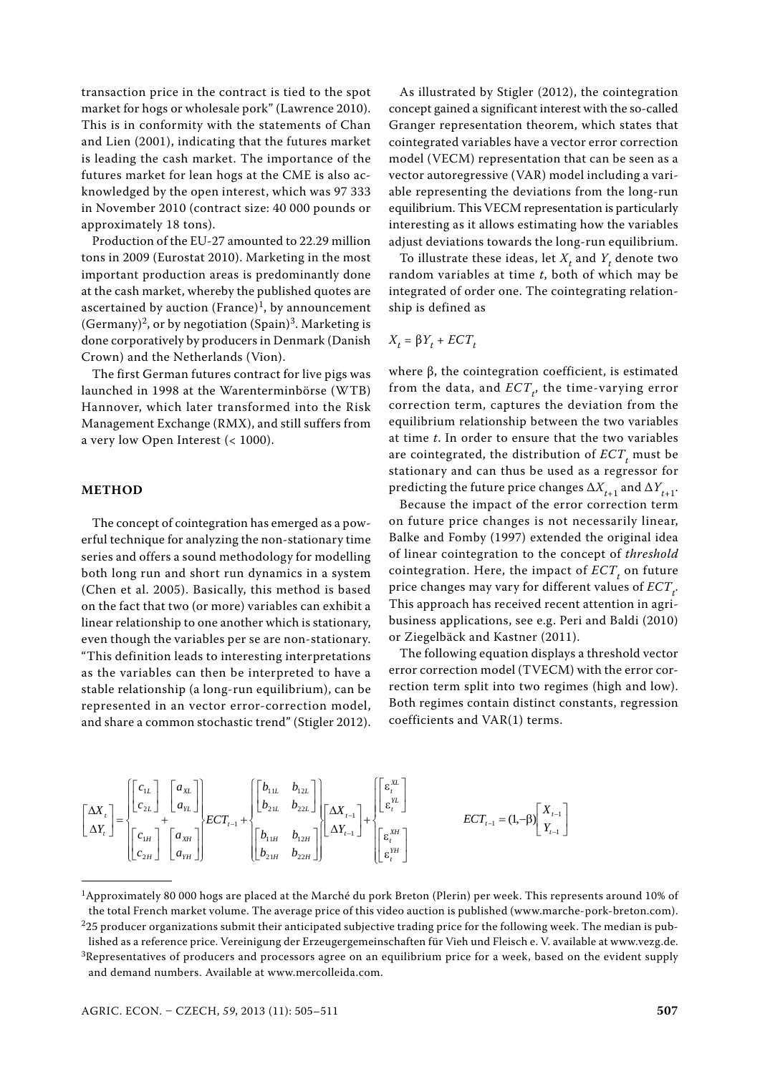transaction price in the contract is tied to the spot market for hogs or wholesale pork" (Lawrence 2010). This is in conformity with the statements of Chan and Lien (2001), indicating that the futures market is leading the cash market. The importance of the futures market for lean hogs at the CME is also acknowledged by the open interest, which was 97 333 in November 2010 (contract size: 40 000 pounds or approximately 18 tons).

Production of the EU-27 amounted to 22.29 million tons in 2009 (Eurostat 2010). Marketing in the most important production areas is predominantly done at the cash market, whereby the published quotes are ascertained by auction (France)<sup>1</sup>, by announcement  $(Germany)<sup>2</sup>$ , or by negotiation  $(Spain)<sup>3</sup>$ . Marketing is done corporatively by producers in Denmark (Danish Crown) and the Netherlands (Vion).

The first German futures contract for live pigs was launched in 1998 at the Warenterminbörse (WTB) Hannover, which later transformed into the Risk Management Exchange (RMX), and still suffers from a very low Open Interest (< 1000).

## **METHOD**

The concept of cointegration has emerged as a powerful technique for analyzing the non-stationary time series and offers a sound methodology for modelling both long run and short run dynamics in a system (Chen et al. 2005). Basically, this method is based on the fact that two (or more) variables can exhibit a linear relationship to one another which is stationary, even though the variables per se are non-stationary. "This definition leads to interesting interpretations as the variables can then be interpreted to have a stable relationship (a long-run equilibrium), can be represented in an vector error-correction model, and share a common stochastic trend" (Stigler 2012).

As illustrated by Stigler (2012), the cointegration concept gained a significant interest with the so-called Granger representation theorem, which states that cointegrated variables have a vector error correction model (VECM) representation that can be seen as a vector autoregressive (VAR) model including a variable representing the deviations from the long-run equilibrium. This VECM representation is particularly interesting as it allows estimating how the variables adjust deviations towards the long-run equilibrium.

To illustrate these ideas, let  $X_t$  and  $Y_t$  denote two random variables at time *t*, both of which may be integrated of order one. The cointegrating relationship is defined as

$$
X_t = \beta Y_t + ECT_t
$$

where β, the cointegration coefficient, is estimated from the data, and  $\mathit{ECT}_t$ , the time-varying error correction term, captures the deviation from the equilibrium relationship between the two variables at time *t*. In order to ensure that the two variables are cointegrated, the distribution of  $\mathit{ECT}_t$  must be stationary and can thus be used as a regressor for predicting the future price changes  $\Delta X_{t+1}$  and  $\Delta Y_{t+1}$ .

Because the impact of the error correction term on future price changes is not necessarily linear, Balke and Fomby (1997) extended the original idea of linear cointegration to the concept of *threshold* cointegration. Here, the impact of  $\mathit{ECT}_t$  on future price changes may vary for different values of  $\mathit{ECT}_t$ . This approach has received recent attention in agribusiness applications, see e.g. Peri and Baldi (2010) or Ziegelbäck and Kastner (2011).

The following equation displays a threshold vector error correction model (TVECM) with the error correction term split into two regimes (high and low). Both regimes contain distinct constants, regression coefficients and VAR(1) terms.

$$
\begin{bmatrix}\n\Delta X_t \\
\Delta Y_t\n\end{bmatrix} = \begin{bmatrix}\n\begin{bmatrix}\nc_{1L} \\
c_{2L}\n\end{bmatrix}\n\begin{bmatrix}\na_{XL} \\
a_{YL}\n\end{bmatrix} \\
+ \begin{bmatrix}\nc_{1H} \\
c_{2H}\n\end{bmatrix}\n\begin{bmatrix}\na_{XH} \\
c_{YH}\n\end{bmatrix}\n\end{bmatrix} \begin{bmatrix}\nE_{1L} & b_{12L} \\
b_{21L} & b_{22L}\n\end{bmatrix} \begin{bmatrix}\n\Delta X_{t-1} \\
\Delta Y_{t-1}\n\end{bmatrix} + \begin{bmatrix}\n\begin{bmatrix}\n\varepsilon_t^{XL} \\
\varepsilon_t^{YL}\n\end{bmatrix} \\
\begin{bmatrix}\nc_{1H} \\
c_{2H}\n\end{bmatrix}\n\begin{bmatrix}\na_{XH} \\
a_{YH}\n\end{bmatrix}\n\end{bmatrix} \begin{bmatrix}\n\Delta Y_{t-1} \\
\Delta Y_{t-1}\n\end{bmatrix} + \begin{bmatrix}\n\varepsilon_t^{XH} \\
\varepsilon_t^{YH} \\
\varepsilon_t^{YH}\n\end{bmatrix}
$$
\n
$$
ECT_{t-1} = (1, -\beta)\begin{bmatrix}\nX_{t-1} \\
Y_{t-1}\n\end{bmatrix}
$$

 $^1$ Approximately 80 000 hogs are placed at the Marché du pork Breton (Plerin) per week. This represents around 10% of the total French market volume. The average price of this video auction is published (www.marche-pork-breton.com).

 $225$  producer organizations submit their anticipated subjective trading price for the following week. The median is published as a reference price. Vereinigung der Erzeugergemeinschaften für Vieh und Fleisch e. V. available at www.vezg.de.

<sup>&</sup>lt;sup>3</sup>Representatives of producers and processors agree on an equilibrium price for a week, based on the evident supply and demand numbers. Available at www.mercolleida.com.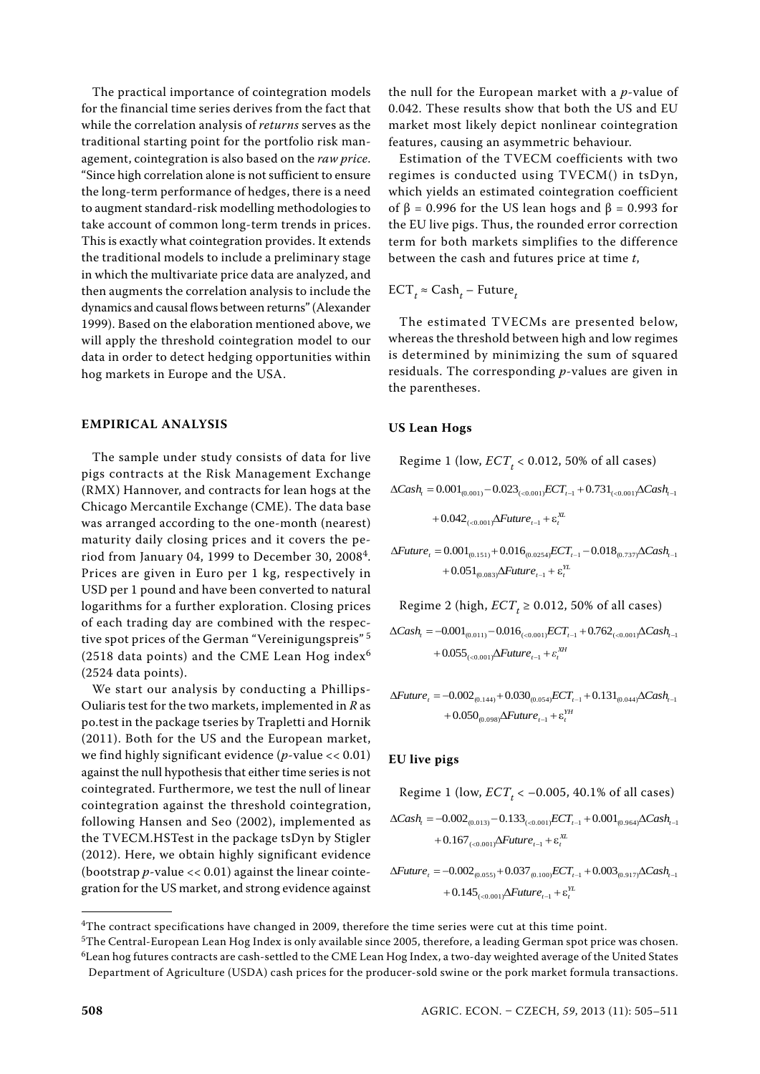The practical importance of cointegration models for the financial time series derives from the fact that while the correlation analysis of *returns* serves as the traditional starting point for the portfolio risk management, cointegration is also based on the *raw price*. "Since high correlation alone is not sufficient to ensure the long-term performance of hedges, there is a need to augment standard-risk modelling methodologies to take account of common long-term trends in prices. This is exactly what cointegration provides. It extends the traditional models to include a preliminary stage in which the multivariate price data are analyzed, and then augments the correlation analysis to include the dynamics and causal flows between returns" (Alexander 1999). Based on the elaboration mentioned above, we will apply the threshold cointegration model to our data in order to detect hedging opportunities within hog markets in Europe and the USA.

## **EMPIRICAL ANALYSIS**

The sample under study consists of data for live pigs contracts at the Risk Management Exchange (RMX) Hannover, and contracts for lean hogs at the Chicago Mercantile Exchange (CME). The data base was arranged according to the one-month (nearest) maturity daily closing prices and it covers the period from January 04, 1999 to December 30, 20084. Prices are given in Euro per 1 kg, respectively in USD per 1 pound and have been converted to natural logarithms for a further exploration. Closing prices of each trading day are combined with the respective spot prices of the German "Vereinigungspreis"<sup>5</sup> (2518 data points) and the CME Lean Hog index $6$ (2524 data points).

We start our analysis by conducting a Phillips-Ouliaris test for the two markets, implemented in *R* as po.test in the package tseries by Trapletti and Hornik (2011). Both for the US and the European market, we find highly significant evidence (*p*-value << 0.01) against the null hypothesis that either time series is not cointegrated. Furthermore, we test the null of linear cointegration against the threshold cointegration, following Hansen and Seo (2002), implemented as the TVECM.HSTest in the package tsDyn by Stigler (2012). Here, we obtain highly significant evidence (bootstrap *p*-value << 0.01) against the linear cointegration for the US market, and strong evidence against the null for the European market with a *p*-value of 0.042. These results show that both the US and EU market most likely depict nonlinear cointegration features, causing an asymmetric behaviour.

Estimation of the TVECM coefficients with two regimes is conducted using TVECM() in tsDyn, which yields an estimated cointegration coefficient of  $β = 0.996$  for the US lean hogs and  $β = 0.993$  for the EU live pigs. Thus, the rounded error correction term for both markets simplifies to the difference between the cash and futures price at time *t*,

## $\text{ECT}_t \approx \text{Cash}_t - \text{Future}_t$

The estimated TVECMs are presented below, whereas the threshold between high and low regimes is determined by minimizing the sum of squared residuals. The corresponding *p*-values are given in the parentheses.

#### **US Lean Hogs**

Regime 1 (low,  $ECT_t < 0.012$ , 50% of all cases)

 $+0.042_{(-0.001)}\Delta Future_{t-1} + \varepsilon_t^{XL}$  $\Delta Cash_{t} = 0.001_{(0.001)} - 0.023_{(-0.001)} ECT_{t-1} + 0.731_{(-0.001)}\Delta Cash_{t-1}$ 

 $\Delta Future_t = 0.001_{(0.151)} + 0.016_{(0.0254)} ECT_{t-1} - 0.018_{(0.737)} \Delta Cash_{t-1}$  $+0.051_{(0.083)}\Delta Future_{t-1} + \varepsilon_t^{YL}$ 

Regime 2 (high, 
$$
ECT_t ≥ 0.012
$$
, 50% of all cases)  
\n $ΔCash_t = -0.001_{(0.011)} - 0.016_{(0.001)}ECT_{t-1} + 0.762_{(0.001)} ΔCash_{t-1} + 0.055_{(0.001)} ΔFuture_{t-1} + ε_t^{XH}$ 

 $\Delta Future_t = -0.002_{(0.144)} + 0.030_{(0.054)} ECT_{t-1} + 0.131_{(0.044)}\Delta Cash_{t-1}$  $f + 0.050_{\text{meas}}\Delta Future_{t-1} + \varepsilon_t^{YH}$ 

## **EU live pigs**

Regime 1 (low,  $ECT_t < -0.005$ , 40.1% of all cases)  $\Delta Cash_{t} = -0.002_{(0.013)} - 0.133_{(<0.001)} ECT_{t-1} + 0.001_{(0.964)} \Delta Cash_{t-1}$  $+0.167_{\epsilon<0.001} \Delta Future_{t-1} + \varepsilon_t^{XL}$ 

$$
\begin{aligned} \Delta Future_{t}=&-0.002_{(0.055)}+0.037_{(0.100)}ECT_{t-1}+0.003_{(0.917)}\Delta Cash_{t-1}\\&+0.145_{(<0.001)}\Delta Future_{t-1}+\epsilon^{VL}_{t}\end{aligned}
$$

<sup>&</sup>lt;sup>4</sup>The contract specifications have changed in 2009, therefore the time series were cut at this time point.

<sup>5</sup>The Central-European Lean Hog Index is only available since 2005, therefore, a leading German spot price was chosen.  $6$ Lean hog futures contracts are cash-settled to the CME Lean Hog Index, a two-day weighted average of the United States

Department of Agriculture (USDA) cash prices for the producer-sold swine or the pork market formula transactions.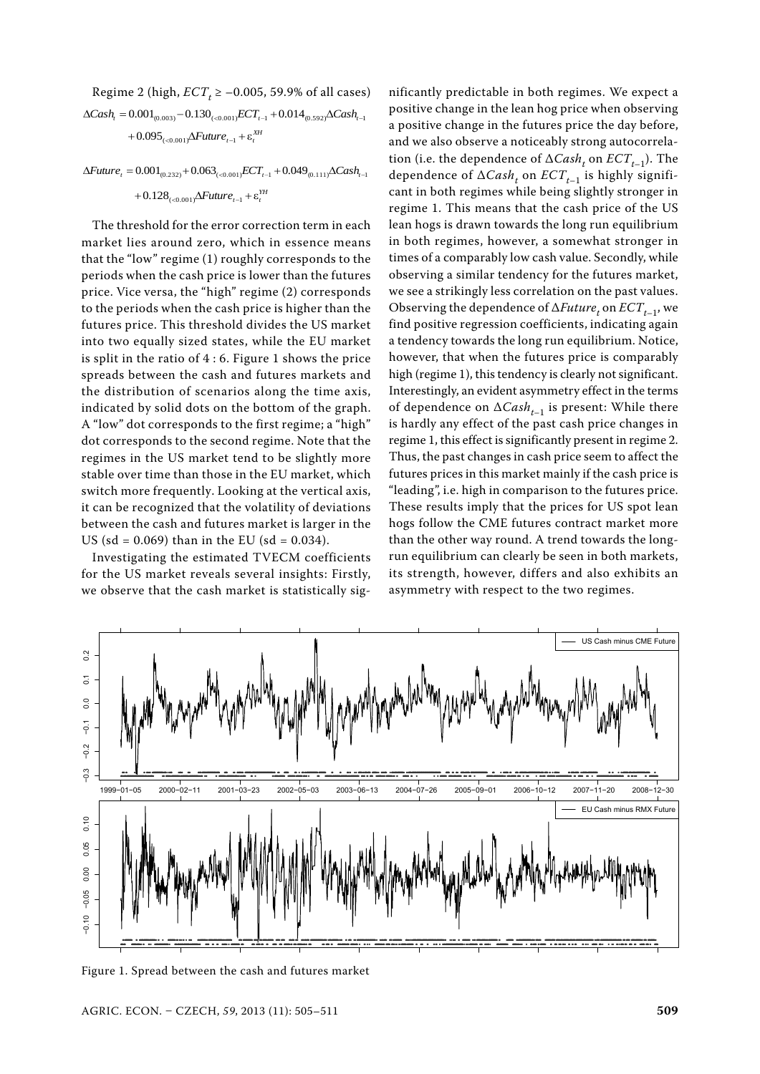Regime 2 (high,  $ECT_{t}$   $\geq -0.005$ , 59.9% of all cases)  $\Delta Cash_t = 0.001_{(0.003)} - 0.130_{(<0.001)}ECT_{t-1} + 0.014_{(0.592)}\Delta Cash_{t-1}$  $+0.095$ <sub>(<0.001)</sub> $\Delta$ *Future*<sub>t-1</sub>  $+ \varepsilon^{XH}_{t}$ 

 $\Delta Future_{t} = 0.001_{(0.232)} + 0.063_{(<0.001)} ECT_{t-1} + 0.049_{(0.111)} \Delta Cash_{t-1}$  $f + 0.128$ <sub>(20.001)</sub> $\Delta$ *Future*<sub>t-1</sub>  $f \epsilon_t^{YH}$ 

The threshold for the error correction term in each market lies around zero, which in essence means that the "low" regime (1) roughly corresponds to the periods when the cash price is lower than the futures price. Vice versa, the "high" regime (2) corresponds to the periods when the cash price is higher than the futures price. This threshold divides the US market into two equally sized states, while the EU market is split in the ratio of  $4:6$ . Figure 1 shows the price spreads between the cash and futures markets and the distribution of scenarios along the time axis, indicated by solid dots on the bottom of the graph. A "low" dot corresponds to the first regime; a "high" dot corresponds to the second regime. Note that the regimes in the US market tend to be slightly more stable over time than those in the EU market, which switch more frequently. Looking at the vertical axis, it can be recognized that the volatility of deviations between the cash and futures market is larger in the US (sd =  $0.069$ ) than in the EU (sd =  $0.034$ ).

Investigating the estimated TVECM coefficients for the US market reveals several insights: Firstly, we observe that the cash market is statistically sig-

nificantly predictable in both regimes. We expect a positive change in the lean hog price when observing a positive change in the futures price the day before, and we also observe a noticeably strong autocorrelation (i.e. the dependence of  $\Delta Cash_t$  on  $ECT_{t-1}$ ). The dependence of  $\Delta Cash_t$  on  $ECT_{t-1}$  is highly significant in both regimes while being slightly stronger in regime 1. This means that the cash price of the US lean hogs is drawn towards the long run equilibrium in both regimes, however, a somewhat stronger in times of a comparably low cash value. Secondly, while observing a similar tendency for the futures market, we see a strikingly less correlation on the past values. Observing the dependence of  $\Delta Future_t$  on  $ECT_{t-1}$ , we find positive regression coefficients, indicating again a tendency towards the long run equilibrium. Notice, however, that when the futures price is comparably high (regime 1), this tendency is clearly not significant. Interestingly, an evident asymmetry effect in the terms of dependence on Δ*Cash<sub>t-1</sub>* is present: While there is hardly any effect of the past cash price changes in regime 1, this effect is significantly present in regime 2. Thus, the past changes in cash price seem to affect the futures prices in this market mainly if the cash price is "leading", i.e. high in comparison to the futures price. These results imply that the prices for US spot lean hogs follow the CME futures contract market more than the other way round. A trend towards the longrun equilibrium can clearly be seen in both markets, its strength, however, differs and also exhibits an asymmetry with respect to the two regimes.



Figure 1. Spread between the cash and futures market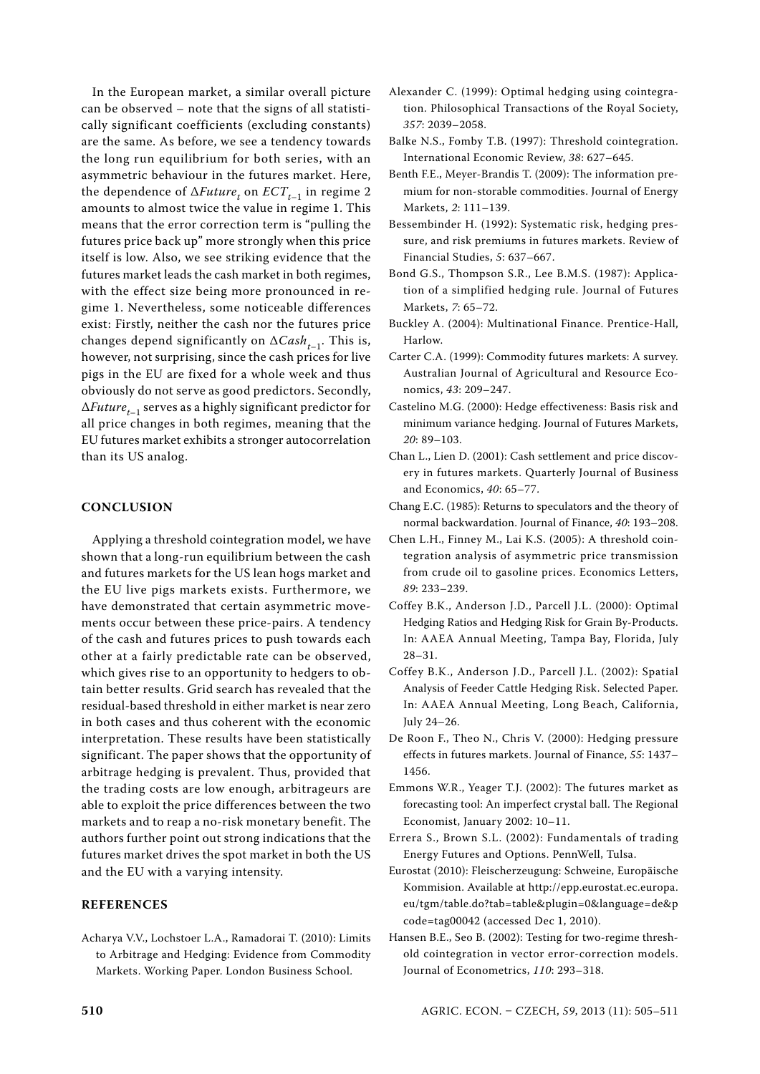In the European market, a similar overall picture can be observed – note that the signs of all statistically significant coefficients (excluding constants) are the same. As before, we see a tendency towards the long run equilibrium for both series, with an asymmetric behaviour in the futures market. Here, the dependence of  $\Delta Future_t$  on  $ECT_{t-1}$  in regime 2 amounts to almost twice the value in regime 1. This means that the error correction term is "pulling the futures price back up" more strongly when this price itself is low. Also, we see striking evidence that the futures market leads the cash market in both regimes, with the effect size being more pronounced in regime 1. Nevertheless, some noticeable differences exist: Firstly, neither the cash nor the futures price changes depend significantly on  $ΔCash<sub>t-1</sub>$ . This is, however, not surprising, since the cash prices for live pigs in the EU are fixed for a whole week and thus obviously do not serve as good predictors. Secondly,  $ΔFuture_{t-1}$  serves as a highly significant predictor for all price changes in both regimes, meaning that the EU futures market exhibits a stronger autocorrelation than its US analog.

## **CONCLUSION**

Applying a threshold cointegration model, we have shown that a long-run equilibrium between the cash and futures markets for the US lean hogs market and the EU live pigs markets exists. Furthermore, we have demonstrated that certain asymmetric movements occur between these price-pairs. A tendency of the cash and futures prices to push towards each other at a fairly predictable rate can be observed, which gives rise to an opportunity to hedgers to obtain better results. Grid search has revealed that the residual-based threshold in either market is near zero in both cases and thus coherent with the economic interpretation. These results have been statistically significant. The paper shows that the opportunity of arbitrage hedging is prevalent. Thus, provided that the trading costs are low enough, arbitrageurs are able to exploit the price differences between the two markets and to reap a no-risk monetary benefit. The authors further point out strong indications that the futures market drives the spot market in both the US and the EU with a varying intensity.

## **REFERENCES**

Acharya V.V., Lochstoer L.A., Ramadorai T. (2010): Limits to Arbitrage and Hedging: Evidence from Commodity Markets. Working Paper. London Business School.

- Alexander C. (1999): Optimal hedging using cointegration. Philosophical Transactions of the Royal Society, *357*: 2039–2058.
- Balke N.S., Fomby T.B. (1997): Threshold cointegration. International Economic Review, *38*: 627–645.
- Benth F.E., Meyer-Brandis T. (2009): The information premium for non-storable commodities. Journal of Energy Markets, *2*: 111–139.
- Bessembinder H. (1992): Systematic risk, hedging pressure, and risk premiums in futures markets. Review of Financial Studies, *5*: 637–667.
- Bond G.S., Thompson S.R., Lee B.M.S. (1987): Application of a simplified hedging rule. Journal of Futures Markets, *7*: 65–72.
- Buckley A. (2004): Multinational Finance. Prentice-Hall, Harlow.
- Carter C.A. (1999): Commodity futures markets: A survey. Australian Journal of Agricultural and Resource Economics, *43*: 209–247.
- Castelino M.G. (2000): Hedge effectiveness: Basis risk and minimum variance hedging. Journal of Futures Markets, *20*: 89–103.
- Chan L., Lien D. (2001): Cash settlement and price discovery in futures markets. Quarterly Journal of Business and Economics, *40*: 65–77.
- Chang E.C. (1985): Returns to speculators and the theory of normal backwardation. Journal of Finance, *40*: 193–208.
- Chen L.H., Finney M., Lai K.S. (2005): A threshold cointegration analysis of asymmetric price transmission from crude oil to gasoline prices. Economics Letters, *89*: 233–239.
- Coffey B.K., Anderson J.D., Parcell J.L. (2000): Optimal Hedging Ratios and Hedging Risk for Grain By-Products. In: AAEA Annual Meeting, Tampa Bay, Florida, July 28–31.
- Coffey B.K., Anderson J.D., Parcell J.L. (2002): Spatial Analysis of Feeder Cattle Hedging Risk. Selected Paper. In: AAEA Annual Meeting, Long Beach, California, July 24–26.
- De Roon F., Theo N., Chris V. (2000): Hedging pressure effects in futures markets. Journal of Finance, *55*: 1437– 1456.
- Emmons W.R., Yeager T.J. (2002): The futures market as forecasting tool: An imperfect crystal ball. The Regional Economist, January 2002: 10–11.
- Errera S., Brown S.L. (2002): Fundamentals of trading Energy Futures and Options. PennWell, Tulsa.
- Eurostat (2010): Fleischerzeugung: Schweine, Europäische Kommision. Available at http://epp.eurostat.ec.europa. eu/tgm/table.do?tab=table&plugin=0&language=de&p code=tag00042 (accessed Dec 1, 2010).
- Hansen B.E., Seo B. (2002): Testing for two-regime threshold cointegration in vector error-correction models. Journal of Econometrics, *110*: 293–318.